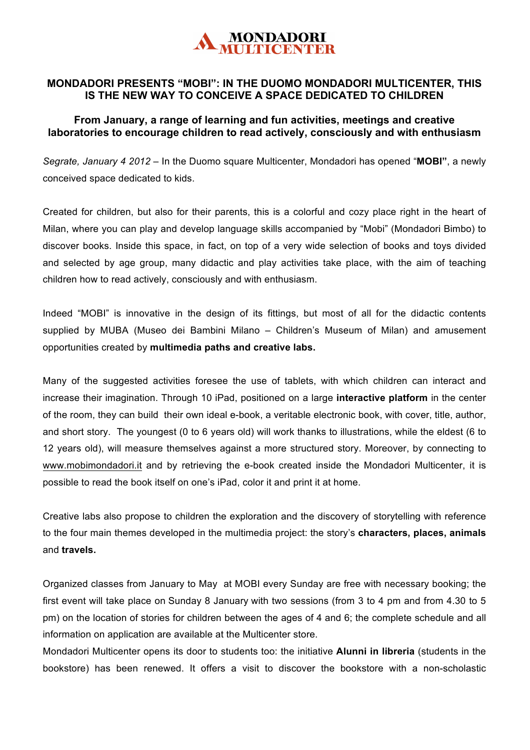

## **MONDADORI PRESENTS "MOBI": IN THE DUOMO MONDADORI MULTICENTER, THIS IS THE NEW WAY TO CONCEIVE A SPACE DEDICATED TO CHILDREN**

## **From January, a range of learning and fun activities, meetings and creative laboratories to encourage children to read actively, consciously and with enthusiasm**

*Segrate, January 4 2012* – In the Duomo square Multicenter, Mondadori has opened "**MOBI"**, a newly conceived space dedicated to kids.

Created for children, but also for their parents, this is a colorful and cozy place right in the heart of Milan, where you can play and develop language skills accompanied by "Mobi" (Mondadori Bimbo) to discover books. Inside this space, in fact, on top of a very wide selection of books and toys divided and selected by age group, many didactic and play activities take place, with the aim of teaching children how to read actively, consciously and with enthusiasm.

Indeed "MOBI" is innovative in the design of its fittings, but most of all for the didactic contents supplied by MUBA (Museo dei Bambini Milano – Children's Museum of Milan) and amusement opportunities created by **multimedia paths and creative labs.**

Many of the suggested activities foresee the use of tablets, with which children can interact and increase their imagination. Through 10 iPad, positioned on a large **interactive platform** in the center of the room, they can build their own ideal e-book, a veritable electronic book, with cover, title, author, and short story. The youngest (0 to 6 years old) will work thanks to illustrations, while the eldest (6 to 12 years old), will measure themselves against a more structured story. Moreover, by connecting to www.mobimondadori.it and by retrieving the e-book created inside the Mondadori Multicenter, it is possible to read the book itself on one's iPad, color it and print it at home.

Creative labs also propose to children the exploration and the discovery of storytelling with reference to the four main themes developed in the multimedia project: the story's **characters, places, animals**  and **travels.** 

Organized classes from January to May at MOBI every Sunday are free with necessary booking; the first event will take place on Sunday 8 January with two sessions (from 3 to 4 pm and from 4.30 to 5 pm) on the location of stories for children between the ages of 4 and 6; the complete schedule and all information on application are available at the Multicenter store.

Mondadori Multicenter opens its door to students too: the initiative **Alunni in libreria** (students in the bookstore) has been renewed. It offers a visit to discover the bookstore with a non-scholastic